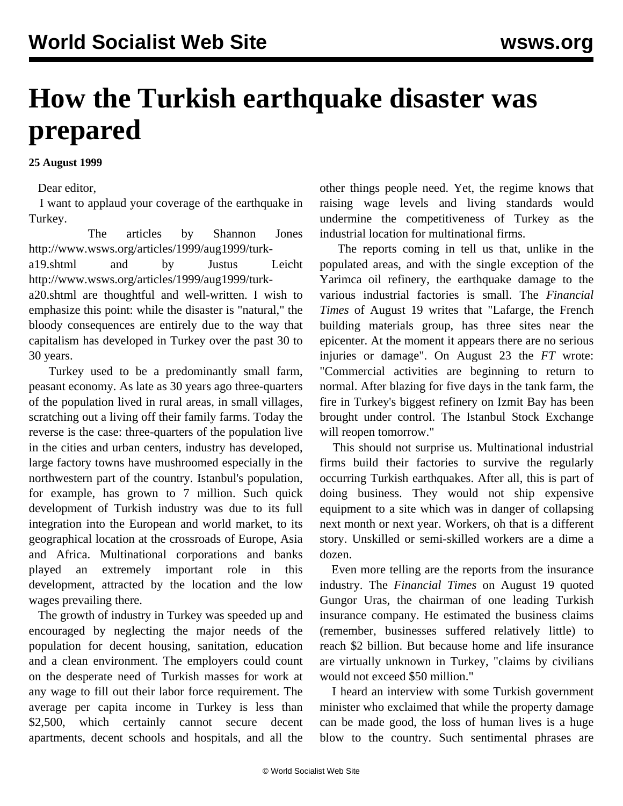## **How the Turkish earthquake disaster was prepared**

## **25 August 1999**

Dear editor,

 I want to applaud your coverage of the earthquake in Turkey.

 The articles by Shannon Jones [http://www.wsws.org/articles/1999/aug1999/turk-](turk-a19.shtml)

[a19.shtml](turk-a19.shtml) and by Justus Leicht [http://www.wsws.org/articles/1999/aug1999/turk-](turk-a20.shtml)

[a20.shtml](turk-a20.shtml) are thoughtful and well-written. I wish to emphasize this point: while the disaster is "natural," the bloody consequences are entirely due to the way that capitalism has developed in Turkey over the past 30 to 30 years.

 Turkey used to be a predominantly small farm, peasant economy. As late as 30 years ago three-quarters of the population lived in rural areas, in small villages, scratching out a living off their family farms. Today the reverse is the case: three-quarters of the population live in the cities and urban centers, industry has developed, large factory towns have mushroomed especially in the northwestern part of the country. Istanbul's population, for example, has grown to 7 million. Such quick development of Turkish industry was due to its full integration into the European and world market, to its geographical location at the crossroads of Europe, Asia and Africa. Multinational corporations and banks played an extremely important role in this development, attracted by the location and the low wages prevailing there.

 The growth of industry in Turkey was speeded up and encouraged by neglecting the major needs of the population for decent housing, sanitation, education and a clean environment. The employers could count on the desperate need of Turkish masses for work at any wage to fill out their labor force requirement. The average per capita income in Turkey is less than \$2,500, which certainly cannot secure decent apartments, decent schools and hospitals, and all the

other things people need. Yet, the regime knows that raising wage levels and living standards would undermine the competitiveness of Turkey as the industrial location for multinational firms.

 The reports coming in tell us that, unlike in the populated areas, and with the single exception of the Yarimca oil refinery, the earthquake damage to the various industrial factories is small. The *Financial Times* of August 19 writes that "Lafarge, the French building materials group, has three sites near the epicenter. At the moment it appears there are no serious injuries or damage". On August 23 the *FT* wrote: "Commercial activities are beginning to return to normal. After blazing for five days in the tank farm, the fire in Turkey's biggest refinery on Izmit Bay has been brought under control. The Istanbul Stock Exchange will reopen tomorrow."

 This should not surprise us. Multinational industrial firms build their factories to survive the regularly occurring Turkish earthquakes. After all, this is part of doing business. They would not ship expensive equipment to a site which was in danger of collapsing next month or next year. Workers, oh that is a different story. Unskilled or semi-skilled workers are a dime a dozen.

 Even more telling are the reports from the insurance industry. The *Financial Times* on August 19 quoted Gungor Uras, the chairman of one leading Turkish insurance company. He estimated the business claims (remember, businesses suffered relatively little) to reach \$2 billion. But because home and life insurance are virtually unknown in Turkey, "claims by civilians would not exceed \$50 million."

 I heard an interview with some Turkish government minister who exclaimed that while the property damage can be made good, the loss of human lives is a huge blow to the country. Such sentimental phrases are